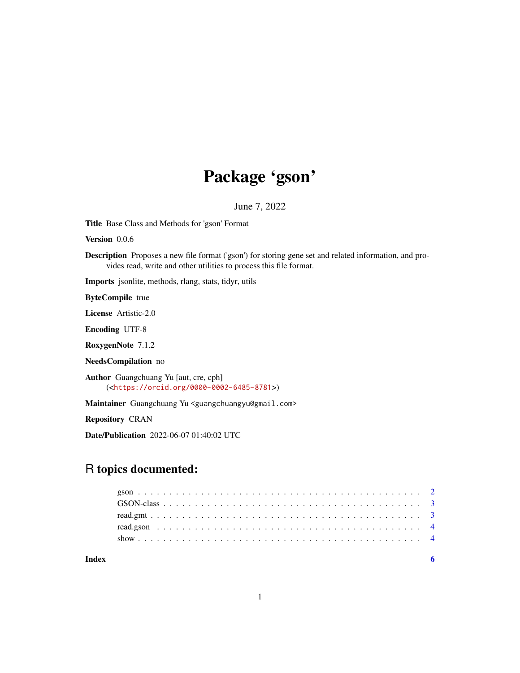## Package 'gson'

June 7, 2022

Title Base Class and Methods for 'gson' Format

Version 0.0.6

Description Proposes a new file format ('gson') for storing gene set and related information, and provides read, write and other utilities to process this file format.

Imports jsonlite, methods, rlang, stats, tidyr, utils

ByteCompile true

License Artistic-2.0

Encoding UTF-8

RoxygenNote 7.1.2

NeedsCompilation no

Author Guangchuang Yu [aut, cre, cph] (<<https://orcid.org/0000-0002-6485-8781>>)

Maintainer Guangchuang Yu <guangchuangyu@gmail.com>

Repository CRAN

Date/Publication 2022-06-07 01:40:02 UTC

## R topics documented:

| Index |  |  |  |  |  |  |  |  |  |  |  |  |  |  |  |  |  |  |  |  |
|-------|--|--|--|--|--|--|--|--|--|--|--|--|--|--|--|--|--|--|--|--|
|       |  |  |  |  |  |  |  |  |  |  |  |  |  |  |  |  |  |  |  |  |
|       |  |  |  |  |  |  |  |  |  |  |  |  |  |  |  |  |  |  |  |  |
|       |  |  |  |  |  |  |  |  |  |  |  |  |  |  |  |  |  |  |  |  |
|       |  |  |  |  |  |  |  |  |  |  |  |  |  |  |  |  |  |  |  |  |
|       |  |  |  |  |  |  |  |  |  |  |  |  |  |  |  |  |  |  |  |  |

1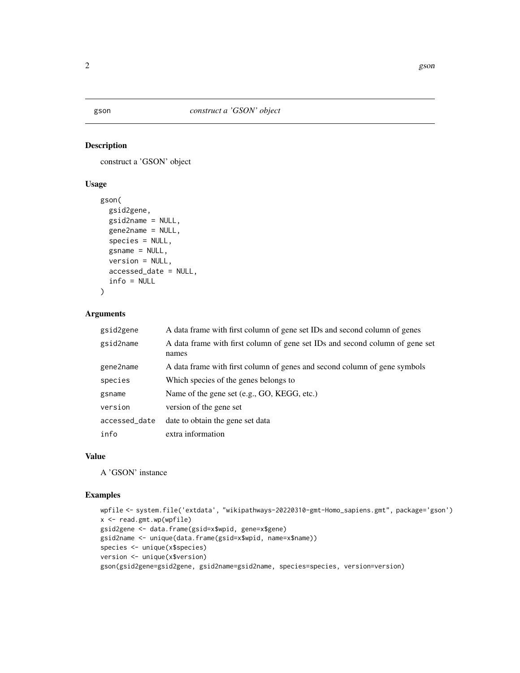#### Description

construct a 'GSON' object

#### Usage

```
gson(
  gsid2gene,
  gsid2name = NULL,
  gene2name = NULL,
  species = NULL,
  gsname = NULL,
 version = NULL,
  accessed_date = NULL,
  info = NULL
)
```
#### Arguments

| gsid2gene     | A data frame with first column of gene set IDs and second column of genes             |
|---------------|---------------------------------------------------------------------------------------|
| gsid2name     | A data frame with first column of gene set IDs and second column of gene set<br>names |
| gene2name     | A data frame with first column of genes and second column of gene symbols             |
| species       | Which species of the genes belongs to                                                 |
| gsname        | Name of the gene set (e.g., GO, KEGG, etc.)                                           |
| version       | version of the gene set                                                               |
| accessed_date | date to obtain the gene set data                                                      |
| info          | extra information                                                                     |

#### Value

A 'GSON' instance

#### Examples

```
wpfile <- system.file('extdata', "wikipathways-20220310-gmt-Homo_sapiens.gmt", package='gson')
x <- read.gmt.wp(wpfile)
gsid2gene <- data.frame(gsid=x$wpid, gene=x$gene)
gsid2name <- unique(data.frame(gsid=x$wpid, name=x$name))
species <- unique(x$species)
version <- unique(x$version)
gson(gsid2gene=gsid2gene, gsid2name=gsid2name, species=species, version=version)
```
<span id="page-1-0"></span>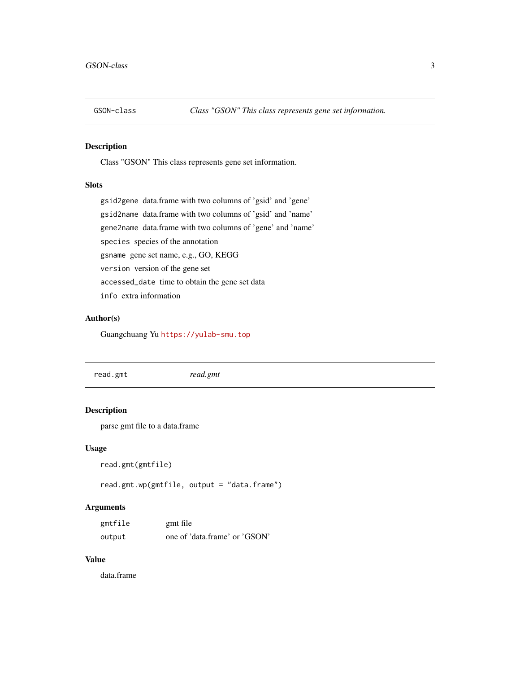<span id="page-2-0"></span>

#### Description

Class "GSON" This class represents gene set information.

#### **Slots**

gsid2gene data.frame with two columns of 'gsid' and 'gene' gsid2name data.frame with two columns of 'gsid' and 'name' gene2name data.frame with two columns of 'gene' and 'name' species species of the annotation gsname gene set name, e.g., GO, KEGG version version of the gene set accessed\_date time to obtain the gene set data info extra information

#### Author(s)

Guangchuang Yu <https://yulab-smu.top>

read.gmt *read.gmt*

#### Description

parse gmt file to a data.frame

#### Usage

```
read.gmt(gmtfile)
```
read.gmt.wp(gmtfile, output = "data.frame")

#### Arguments

| gmtfile | gmt file                      |
|---------|-------------------------------|
| output  | one of 'data.frame' or 'GSON' |

#### Value

data.frame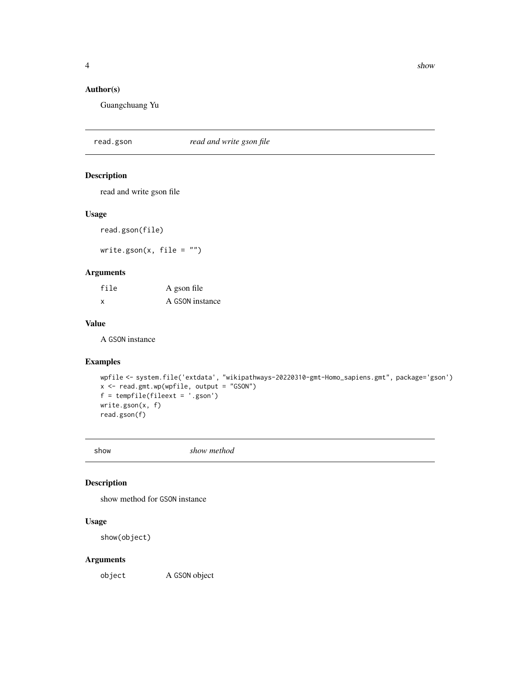#### <span id="page-3-0"></span>Author(s)

Guangchuang Yu

read.gson *read and write gson file*

#### Description

read and write gson file

#### Usage

read.gson(file)

write.gson $(x, \text{ file} = "")$ 

#### Arguments

| file | A gson file     |
|------|-----------------|
| X    | A GSON instance |

#### Value

A GSON instance

#### Examples

```
wpfile <- system.file('extdata', "wikipathways-20220310-gmt-Homo_sapiens.gmt", package='gson')
x <- read.gmt.wp(wpfile, output = "GSON")
f = tempfile(fileext = '.gson')
write.gson(x, f)
read.gson(f)
```
show *show method*

#### Description

show method for GSON instance

#### Usage

show(object)

#### Arguments

object A GSON object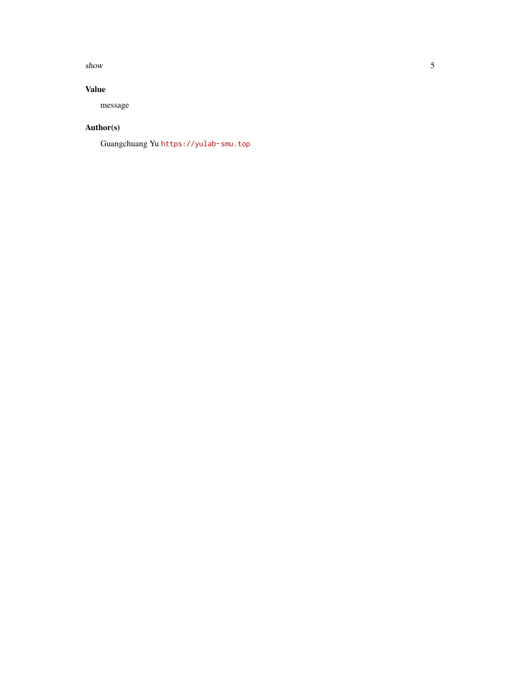#### $s$ how  $5$

#### Value

message

### Author(s)

Guangchuang Yu <https://yulab-smu.top>